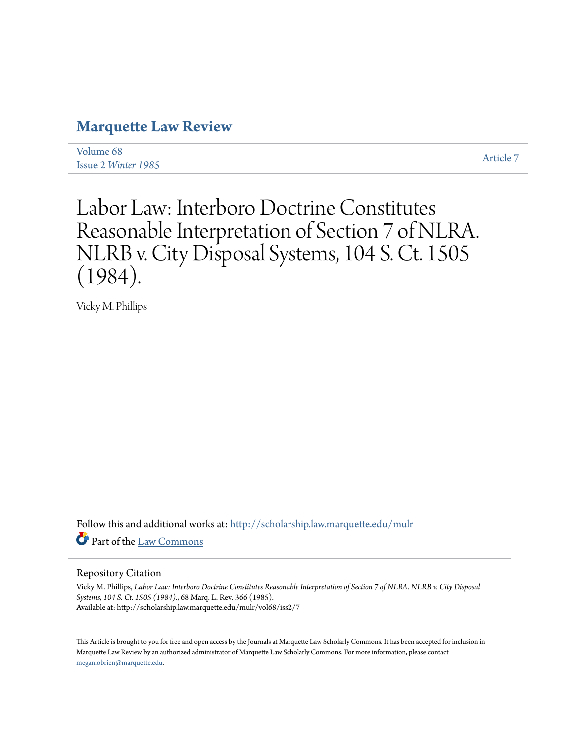# **[Marquette Law Review](http://scholarship.law.marquette.edu/mulr?utm_source=scholarship.law.marquette.edu%2Fmulr%2Fvol68%2Fiss2%2F7&utm_medium=PDF&utm_campaign=PDFCoverPages)**

[Volume 68](http://scholarship.law.marquette.edu/mulr/vol68?utm_source=scholarship.law.marquette.edu%2Fmulr%2Fvol68%2Fiss2%2F7&utm_medium=PDF&utm_campaign=PDFCoverPages) Issue 2 *[Winter 1985](http://scholarship.law.marquette.edu/mulr/vol68/iss2?utm_source=scholarship.law.marquette.edu%2Fmulr%2Fvol68%2Fiss2%2F7&utm_medium=PDF&utm_campaign=PDFCoverPages)* [Article 7](http://scholarship.law.marquette.edu/mulr/vol68/iss2/7?utm_source=scholarship.law.marquette.edu%2Fmulr%2Fvol68%2Fiss2%2F7&utm_medium=PDF&utm_campaign=PDFCoverPages)

# Labor Law: Interboro Doctrine Constitutes Reasonable Interpretation of Section 7 of NLRA. NLRB v. City Disposal Systems, 104 S. Ct. 1505 (1984).

Vicky M. Phillips

Follow this and additional works at: [http://scholarship.law.marquette.edu/mulr](http://scholarship.law.marquette.edu/mulr?utm_source=scholarship.law.marquette.edu%2Fmulr%2Fvol68%2Fiss2%2F7&utm_medium=PDF&utm_campaign=PDFCoverPages) Part of the [Law Commons](http://network.bepress.com/hgg/discipline/578?utm_source=scholarship.law.marquette.edu%2Fmulr%2Fvol68%2Fiss2%2F7&utm_medium=PDF&utm_campaign=PDFCoverPages)

#### Repository Citation

Vicky M. Phillips, *Labor Law: Interboro Doctrine Constitutes Reasonable Interpretation of Section 7 of NLRA. NLRB v. City Disposal Systems, 104 S. Ct. 1505 (1984).*, 68 Marq. L. Rev. 366 (1985). Available at: http://scholarship.law.marquette.edu/mulr/vol68/iss2/7

This Article is brought to you for free and open access by the Journals at Marquette Law Scholarly Commons. It has been accepted for inclusion in Marquette Law Review by an authorized administrator of Marquette Law Scholarly Commons. For more information, please contact [megan.obrien@marquette.edu.](mailto:megan.obrien@marquette.edu)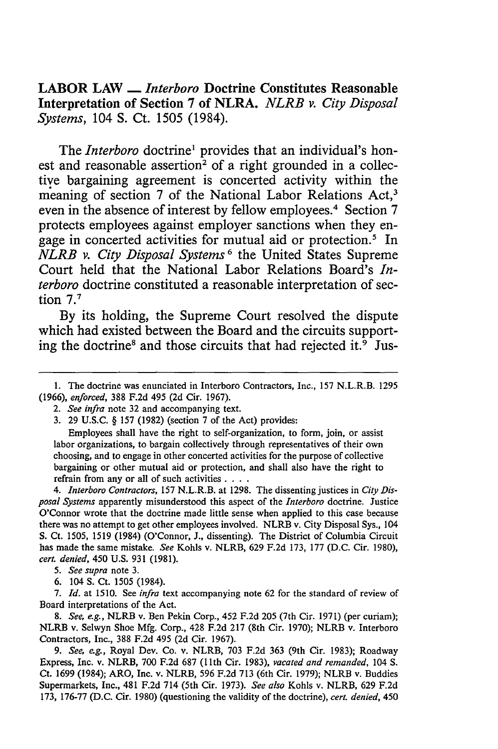LABOR LAW **-** *Interboro* Doctrine Constitutes Reasonable Interpretation of Section **7** of NLRA. *NLRB v. City Disposal Systems,* 104 **S.** Ct. **1505** (1984).

The *Interboro* doctrine' provides that an individual's honest and reasonable assertion<sup>2</sup> of a right grounded in a collective bargaining agreement is concerted activity within the meaning of section 7 of the National Labor Relations Act,<sup>3</sup> even in the absence of interest **by** fellow employees.4 Section **7** protects employees against employer sanctions when they engage in concerted activities for mutual aid or protection.<sup>5</sup> In *NLRB v. City Disposal Systems <sup>6</sup>*the United States Supreme Court held that the National Labor Relations Board's *Interboro* doctrine constituted a reasonable interpretation of section **7.7**

**By** its holding, the Supreme Court resolved the dispute which had existed between the Board and the circuits supporting the doctrine<sup>8</sup> and those circuits that had rejected it. $\frac{1}{2}$  Jus-

Employees shall have the right to self-organization, to form, join, or assist labor organizations, to bargain collectively through representatives of their own choosing, and to engage in other concerted activities for the purpose of collective bargaining or other mutual aid or protection, and shall also have the right to refrain from any or all of such activities **....**

*4. Interboro Contractors,* **157** N.L.R.B. at **1298.** The dissenting justices in *City Disposal Systems* apparently misunderstood this aspect of the *Interboro* doctrine. Justice O'Connor wrote that the doctrine made little sense when applied to this case because there was no attempt to get other employees involved. NLRB v. City Disposal Sys., 104 **S.** Ct. **1505, 1519** (1984) (O'Connor, **J.,** dissenting). The District of Columbia Circuit has made the same mistake. *See* Kohls v. NLRB, **629 F.2d 173, 177 (D.C.** Cir. **1980),** *cert. denied,* 450 **U.S. 931 (1981).**

**6.** 104 **S.** Ct. **1505** (1984).

**7.** *Id.* at **1510.** See *infra* text accompanying note **62** for the standard of review of Board interpretations of the Act.

*8. See, e.g.,* NLRB v. Ben Pekin Corp., 452 **F.2d 205** (7th Cir. **1971)** (per curiam); NLRB v. Selwyn Shoe **Mfg.** Corp., 428 **F.2d 217** (8th Cir. **1970);** NLRB v. Interboro Contractors, Inc., **388 F.2d** 495 **(2d** Cir. 1967).

*9. See, e.g.,* Royal Dev. Co. v. NLRB, **703 F.2d 363** (9th Cir. **1983);** Roadway Express, Inc. v. NLRB, **700 F.2d 687 (1lth** Cir. **1983),** *vacated and remanded,* 104 *S.* Ct. **1699** (1984); ARO, Inc. v. NLRB, **596 F.2d 713** (6th Cir. **1979);** NLRB v. Buddies Supermarkets, Inc., 481 **F.2d** 714 (5th Cir. **1973).** *See also* Kohls v. NLRB, **629 F.2d 173, 176-77 (D.C.** Cir. **1980)** (questioning the validity of the doctrine), *cert. denied,* 450

**<sup>1.</sup>** The doctrine was enunciated in Interboro Contractors, Inc., **157** N.L.R.B. **1295 (1966),** *enforced,* **388 F.2d** 495 **(2d** Cir. **1967).**

*<sup>2.</sup> See infra* note **32** and accompanying text.

**<sup>3. 29</sup> U.S.C.** § **157 (1982)** (section **7** of the Act) provides:

*<sup>5.</sup> See supra* note **3.**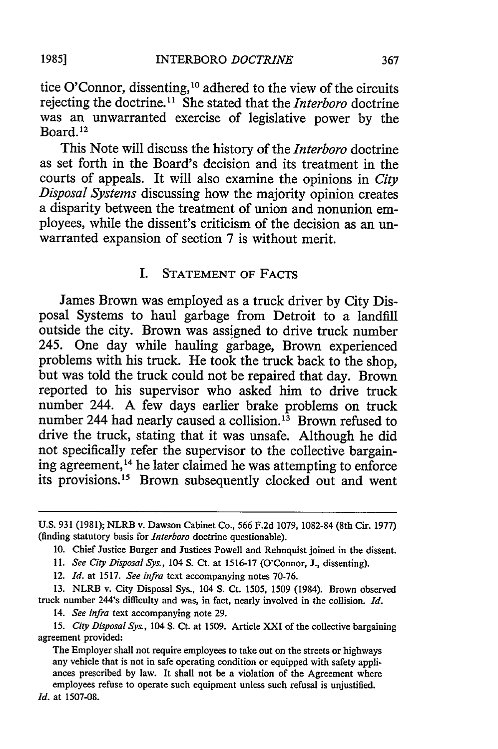tice O'Connor, dissenting, 10 adhered to the view of the circuits rejecting the doctrine."1 She stated that the *Interboro* doctrine was an unwarranted exercise of legislative power by the Board. 12

This Note will discuss the history of the *Interboro* doctrine as set forth in the Board's decision and its treatment in the courts of appeals. It will also examine the opinions in *City Disposal Systems* discussing how the majority opinion creates a disparity between the treatment of union and nonunion employees, while the dissent's criticism of the decision as an unwarranted expansion of section 7 is without merit.

# I. STATEMENT OF FACTS

James Brown was employed as a truck driver by City Disposal Systems to haul garbage from Detroit to a landfill outside the city. Brown was assigned to drive truck number 245. One day while hauling garbage, Brown experienced problems with his truck. He took the truck back to the shop, but was told the truck could not be repaired that day. Brown reported to his supervisor who asked him to drive truck number 244. A few days earlier brake problems on truck number 244 had nearly caused a collision.<sup>13</sup> Brown refused to drive the truck, stating that it was unsafe. Although he did not specifically refer the supervisor to the collective bargaining agreement, 14 he later claimed he was attempting to enforce its provisions. 15 Brown subsequently clocked out and went

12. *Id.* at 1517. *See infra* text accompanying notes 70-76.

13. NLRB v. City Disposal Sys., 104 S. Ct. 1505, 1509 (1984). Brown observed truck number 244's difficulty and was, in fact, nearly involved in the collision. *Id.*

14. *See infra* text accompanying note 29.

*15. City Disposal Sys.,* 104 **S.** Ct. at 1509. Article XXI of the collective bargaining agreement provided:

The Employer shall not require employees to take out on the streets or highways any vehicle that is not in safe operating condition or equipped with safety appli ances prescribed by law. It shall not be a violation of the Agreement where employees refuse to operate such equipment unless such refusal is unjustified.

U.S. 931 (1981); NLRB v. Dawson Cabinet Co., 566 F.2d 1079, 1082-84 (8th Cir. 1977) (finding statutory basis for *Interboro* doctrine questionable).

<sup>10.</sup> Chief Justice Burger and Justices Powell and Rehnquist joined in the dissent.

<sup>11.</sup> *See City Disposal Sys.,* 104 **S.** Ct. at 1516-17 (O'Connor, J., dissenting).

*Id.* at 1507-08.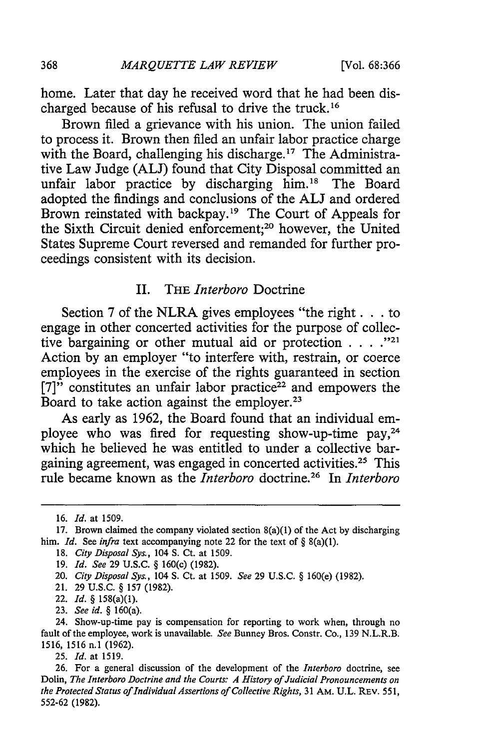home. Later that day he received word that he had been discharged because of his refusal to drive the truck. <sup>16</sup>

Brown filed a grievance with his union. The union failed to process it. Brown then filed an unfair labor practice charge with the Board, challenging his discharge.<sup>17</sup> The Administrative Law Judge **(ALJ)** found that City Disposal committed an unfair labor practice by discharging him.18 The Board adopted the findings and conclusions of the **ALJ** and ordered Brown reinstated with backpay.<sup>19</sup> The Court of Appeals for the Sixth Circuit denied enforcement;<sup>20</sup> however, the United States Supreme Court reversed and remanded for further proceedings consistent with its decision.

# II. THE *Interboro* Doctrine

Section 7 of the NLRA gives employees "the right. **. .** to engage in other concerted activities for the purpose of collective bargaining or other mutual aid or protection  $\cdots$ . <sup>221</sup> Action by an employer "to interfere with, restrain, or coerce employees in the exercise of the rights guaranteed in section  $[7]$ " constitutes an unfair labor practice<sup>22</sup> and empowers the Board to take action against the employer.<sup>23</sup>

As early as 1962, the Board found that an individual employee who was fired for requesting show-up-time pay,<sup>24</sup> which he believed he was entitled to under a collective bargaining agreement, was engaged in concerted activities.<sup>25</sup> This rule became known as the *Interboro* doctrine.26 In Interboro

- 19. *Id. See* 29 U.S.C. § 160(c) (1982).
- 20. *City Disposal Sys.,* 104 **S.** Ct. at 1509. *See* 29 U.S.C. § 160(e) (1982).
- 21. 29 U.S.C. § 157 (1982).
- 22. Id. *§* 158(a)(1).
- 23. See id. *§* 160(a).

24. Show-up-time pay is compensation for reporting to work when, through no fault of the employee, work is unavailable. *See* Bunney Bros. Constr. Co., 139 N.L.R.B. 1516, 1516 n.1 (1962).

25. **Id.** at 1519.

26. For a general discussion of the development of the Interboro doctrine, see Dolin, The Interboro Doctrine and the Courts: A History of Judicial Pronouncements on the Protected Status of Individual *Assertions of Collective Rights,* 31 AM. U.L. REV. 551, 552-62 (1982).

<sup>16.</sup> *Id.* at 1509.

<sup>17.</sup> Brown claimed the company violated section 8(a)(1) of the Act by discharging him. *Id.* See *infra* text accompanying note 22 for the text of § 8(a)(1).

<sup>18.</sup> *City Disposal Sys.,* 104 **S.** Ct. at 1509.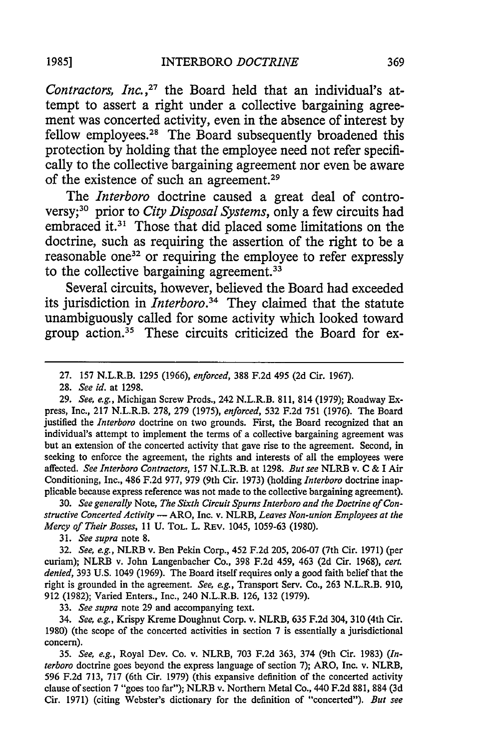Contractors, Inc.,<sup>27</sup> the Board held that an individual's attempt to assert a right under a collective bargaining agreement was concerted activity, even in the absence of interest by fellow employees.<sup>28</sup> The Board subsequently broadened this protection by holding that the employee need not refer specifically to the collective bargaining agreement nor even be aware of the existence of such an agreement.29

The *Interboro* doctrine caused a great deal of controversy; 30 prior to *City Disposal Systems,* only a few circuits had embraced it.<sup>31</sup> Those that did placed some limitations on the doctrine, such as requiring the assertion of the right to be a reasonable one<sup>32</sup> or requiring the employee to refer expressly to the collective bargaining agreement.<sup>33</sup>

Several circuits, however, believed the Board had exceeded its jurisdiction in *Interboro*.<sup>34</sup> They claimed that the statute unambiguously called for some activity which looked toward group action.35 These circuits criticized the Board for ex-

28. *See id.* at 1298.

29. *See, e.g.,* Michigan Screw Prods., 242 N.L.R.B. 811, 814 (1979); Roadway Express, Inc., 217 N.L.R.B. 278, 279 (1975), *enforced,* 532 F.2d 751 (1976). The Board justified the *Interboro* doctrine on two grounds. First, the Board recognized that an individual's attempt to implement the terms of a collective bargaining agreement was but an extension of the concerted activity that gave rise to the agreement. Second, in seeking to enforce the agreement, the rights and interests of all the employees were affected. *See Interboro Contractors,* 157 N.L.R.B. at 1298. *But see* NLRB v. C & I Air Conditioning, Inc., 486 F.2d 977, 979 (9th Cir. 1973) (holding *Interboro* doctrine inapplicable because express reference was not made to the collective bargaining agreement).

30. *See generally* Note, *The Sixth Circuit Spurns Interboro and the Doctrine of Constructive Concerted Activity* - ARO, Inc. v. NLRB, *Leaves Non-union Employees at the Mercy of Their Bosses, 11* U. TOL. L. REv. 1045, 1059-63 (1980).

*31. See supra* note **8.**

32. *See, e.g.,* NLRB v. Ben Pekin Corp., 452 F.2d 205, 206-07 (7th Cir. 1971) (per curiam); NLRB v. John Langenbacher Co., 398 F.2d 459, 463 (2d Cir. 1968), *cert. denied,* 393 U.S. 1049 (1969). The Board itself requires only a good faith belief that the right is grounded in the agreement. *See, e.g.,* Transport Serv. Co., 263 N.L.R.B. 910, 912 (1982); Varied Enters., Inc., 240 N.L.R.B. 126, 132 (1979).

33. *See supra* note 29 and accompanying text.

34. *See, e.g.,* Krispy Kreme Doughnut Corp. v. NLRB, 635 F.2d 304, 310 (4th Cir. 1980) (the scope of the concerted activities in section 7 is essentially a jurisdictional concern).

35. *See, e.g.,* Royal Dev. Co. v. NLRB, 703 F.2d 363, 374 (9th Cir. 1983) *(Interboro* doctrine goes beyond the express language of section 7); ARO, Inc. v. NLRB, 596 F.2d 713, 717 (6th Cir. 1979) (this expansive definition of the concerted activity clause of section 7 "goes too far"); NLRB v. Northern Metal Co., 440 F.2d 881, 884 (3d Cir. 1971) (citing Webster's dictionary for the definition of "concerted"). *But see*

<sup>27. 157</sup> N.L.R.B. 1295 (1966), *enforced,* 388 F.2d 495 (2d Cir. 1967).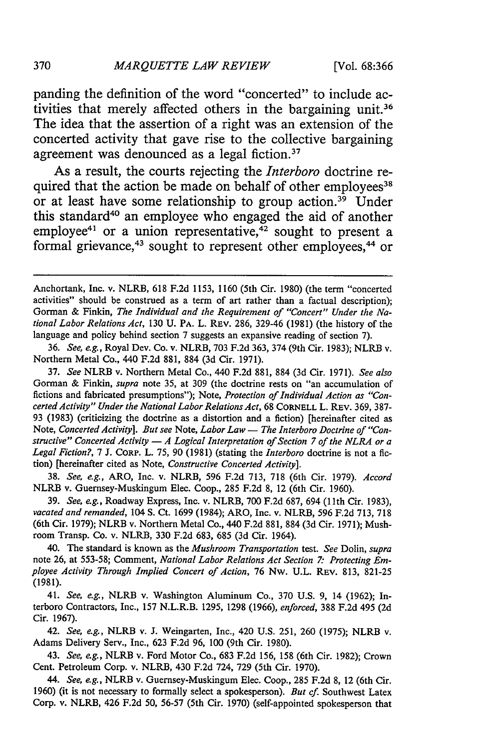panding the definition of the word "concerted" to include activities that merely affected others in the bargaining unit.<sup>36</sup> The idea that the assertion of a right was an extension of the concerted activity that gave rise to the collective bargaining agreement was denounced as a legal fiction.<sup>37</sup>

As a result, the courts rejecting the *Interboro* doctrine required that the action be made on behalf of other employees<sup>38</sup> or at least have some relationship to group action.<sup>39</sup> Under this standard<sup>40</sup> an employee who engaged the aid of another employee<sup>41</sup> or a union representative, $42$  sought to present a formal grievance,<sup>43</sup> sought to represent other employees,<sup>44</sup> or

36. *See, e.g.,* Royal Dev. Co. v. NLRB, 703 F.2d 363, 374 (9th Cir. 1983); NLRB v. Northern Metal Co., 440 F.2d 881, 884 (3d Cir. 1971).

37. *See* NLRB v. Northern Metal Co., 440 F.2d 881, 884 (3d Cir. 1971). *See also* Gorman & Finkin, *supra* note 35, at 309 (the doctrine rests on "an accumulation of fictions and fabricated presumptions"); Note, *Protection of Individual Action as "Concerted Activity" Under the National Labor Relations Act,* 68 CORNELL L. REV. 369, 387- 93 (1983) (criticizing the doctrine as a distortion and a fiction) [hereinafter cited as Note, Concerted Activity]. But see Note, Labor Law - The Interboro Doctrine of "Con*structive" Concerted Activity* - *A Logical Interpretation of Section 7 of the NLRA or a Legal Fiction?,* 7 J. CORP. L. 75, 90 (1981) (stating the *Interboro* doctrine is not a fiction) [hereinafter cited as Note, *Constructive Concerted Activity].*

38. *See, e.g.,* ARO, Inc. v. NLRB, 596 F.2d 713, 718 (6th Cir. 1979). *Accord* NLRB v. Guernsey-Muskingum Elec. Coop., 285 F.2d 8, 12 (6th Cir. 1960).

39. *See, e.g.,* Roadway Express, Inc. v. NLRB, 700 F.2d 687, 694 **(11th** Cir. 1983), *vacated and remanded,* 104 **S.** Ct. 1699 (1984); ARO, Inc. v. NLRB, 596 F.2d 713, 718 (6th Cir. 1979); NLRB v. Northern Metal Co., 440 F.2d 881, 884 (3d Cir. 1971); Mushroom Transp. Co. v. NLRB, 330 F.2d 683, 685 (3d Cir. 1964).

40. The standard is known as the *Mushroom Transportation* test. *See* Dolin, *supra* note 26, at 553-58; Comment, *National Labor Relations Act Section 7: Protecting Employee Activity Through Implied Concert of Action,* 76 Nw. U.L. REV. 813, 821-25 (1981).

41. *See, e.g.,* NLRB v. Washington Aluminum Co., 370 U.S. 9, 14 (1962); Interboro Contractors, Inc., 157 N.L.R.B. 1295, 1298 (1966), *enforced,* 388 F.2d 495 (2d Cir. 1967).

42. *See, e.g.,* NLRB v. **J.** Weingarten, Inc., 420 U.S. 251, 260 (1975); NLRB v. Adams Delivery Serv., Inc., 623 F.2d 96, 100 (9th Cir. 1980).

43. *See, e.g.,* NLRB v. Ford Motor Co., 683 F.2d 156, 158 (6th Cir. 1982); Crown Cent. Petroleum Corp. v. NLRB, 430 F.2d 724, 729 (5th Cir. 1970).

*44. See, eg.,* NLRB v. Guernsey-Muskingum Elec. Coop., 285 F.2d 8, 12 (6th Cir. 1960) (it is not necessary to formally select a spokesperson). *But cf.* Southwest Latex Corp. v. NLRB, 426 F.2d 50, 56-57 (5th Cir. 1970) (self-appointed spokesperson that

Anchortank, Inc. v. NLRB, 618 F.2d 1153, 1160 (5th Cir. 1980) (the term "concerted activities" should be construed as a term of art rather than a factual description); Gorman & Finkin, *The Individual and the Requirement of "Concert" Under the National Labor Relations Act,* 130 U. PA. L. REV. 286, 329-46 (1981) (the history of the language and policy behind section 7 suggests an expansive reading of section 7).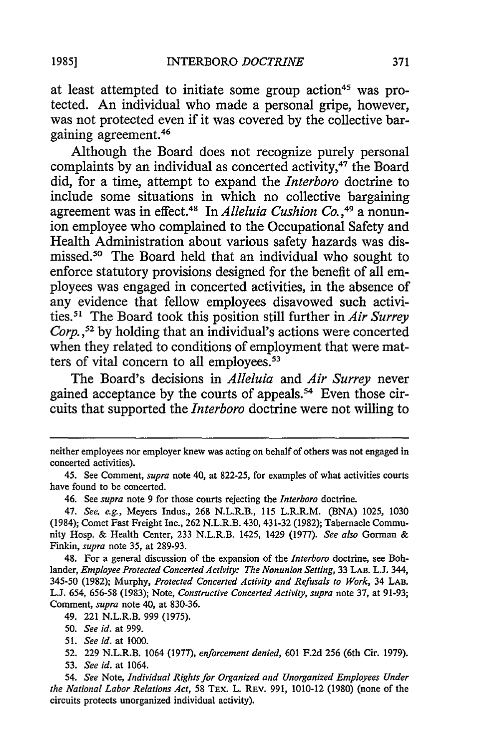at least attempted to initiate some group action<sup>45</sup> was protected. An individual who made a personal gripe, however, was not protected even if it was covered by the collective bargaining agreement.46

Although the Board does not recognize purely personal complaints by an individual as concerted activity,<sup>47</sup> the Board did, for a time, attempt to expand the *Interboro* doctrine to include some situations in which no collective bargaining agreement was in effect.<sup>48</sup> In *Alleluia Cushion Co.*,<sup>49</sup> a nonunion employee who complained to the Occupational Safety and Health Administration about various safety hazards was dismissed.50 The Board held that an individual who sought to enforce statutory provisions designed for the benefit of all employees was engaged in concerted activities, in the absence of any evidence that fellow employees disavowed such activities *. <sup>5</sup>*The Board took this position still further in *Air Surrey Corp.,52* by holding that an individual's actions were concerted when they related to conditions of employment that were matters of vital concern to all employees.<sup>53</sup>

The Board's decisions in *Alleluia* and *Air Surrey* never gained acceptance by the courts of appeals.<sup>54</sup> Even those circuits that supported the *Interboro* doctrine were not willing to

46. See *supra* note 9 for those courts rejecting the *Interboro* doctrine.

47. *See, e.g.,* Meyers Indus., 268 N.L.R.B., 115 L.R.R.M. (BNA) 1025, 1030 (1984); Comet Fast Freight Inc., 262 N.L.R.B. 430, 431-32 (1982); Tabernacle Community Hosp. & Health Center, 233 N.L.R.B. 1425, 1429 (1977). *See also* Gorman & Finkin, *supra* note 35, at 289-93.

48. For a general discussion of the expansion of the *Interboro* doctrine, see Bohlander, *Employee Protected Concerted Activity: The Nonunion Setting,* 33 LAB. L.J. 344, 345-50 (1982); Murphy, *Protected Concerted Activity and Refusals to Work,* 34 **LAB.** L.J. 654, 656-58 (1983); Note, *Constructive Concerted Activity, supra* note 37, at 91-93; Comment, *supra* note 40, at 830-36.

49. 221 N.L.R.B. 999 (1975).

54. *See* Note, *Individual Rights for Organized and Unorganized Employees Under the National Labor Relations Act,* 58 TEx. L. REv. 991, 1010-12 (1980) (none of the circuits protects unorganized individual activity).

neither employees nor employer knew was acting on behalf of others was not engaged in concerted activities).

<sup>45.</sup> See Comment, *supra* note 40, at 822-25, for examples of what activities courts have found to be concerted.

<sup>50.</sup> *See id.* at 999.

<sup>51.</sup> *See id.* at 1000.

<sup>52. 229</sup> N.L.R.B. 1064 (1977), *enforcement denied,* 601 F.2d 256 (6th Cir. 1979). 53. *See id.* at 1064.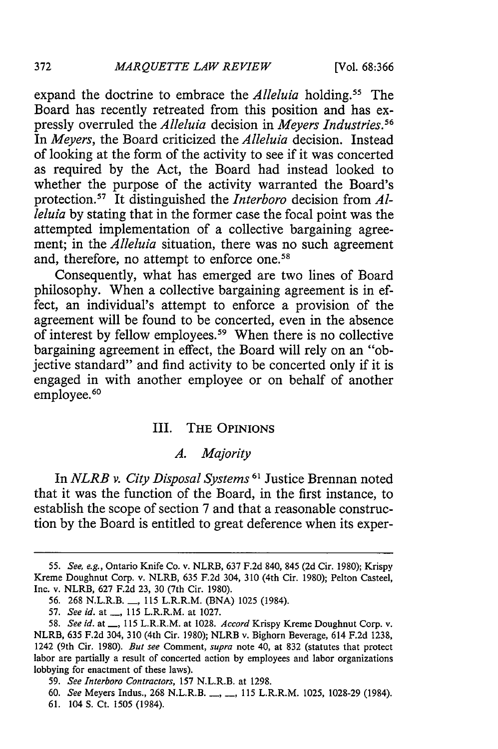expand the doctrine to embrace the *Alleluia* holding.<sup>55</sup> The Board has recently retreated from this position and has expressly overruled the *Alleluia* decision in *Meyers Industries."* In *Meyers,* the Board criticized the *Alleluia* decision. Instead of looking at the form of the activity to see if it was concerted as required by the Act, the Board had instead looked to whether the purpose of the activity warranted the Board's protection.<sup>57</sup> It distinguished the *Interboro* decision from *Alleluia* by stating that in the former case the focal point was the attempted implementation of a collective bargaining agreement; in the *Alleluia* situation, there was no such agreement and, therefore, no attempt to enforce one.<sup>58</sup>

Consequently, what has emerged are two lines of Board philosophy. When a collective bargaining agreement is in effect, an individual's attempt to enforce a provision of the agreement will be found to be concerted, even in the absence of interest by fellow employees.<sup>59</sup> When there is no collective bargaining agreement in effect, the Board will rely on an "objective standard" and find activity to be concerted only if it is engaged in with another employee or on behalf of another employee.<sup>60</sup>

#### III. THE OPINIONS

# *A. Majority*

In *NLRB v. City Disposal Systems 61* Justice Brennan noted that it was the function of the Board, in the first instance, to establish the scope of section **7** and that a reasonable construction **by** the Board is entitled to great deference when its exper-

372

**<sup>55.</sup>** *See, e.g.,* Ontario Knife Co. v. NLRB, 637 **F.2d** 840, 845 (2d Cir. 1980); Krispy Kreme Doughnut Corp. v. NLRB, 635 F.2d 304, 310 (4th Cir. 1980); Pelton Casteel, Inc. v. NLRB, 627 F.2d 23, 30 (7th Cir. 1980).

<sup>56. 268</sup> N.L.R.B. **\_\_, 115** L.R.R.M. (BNA) 1025 (1984).

<sup>57.</sup> *See id.* at \_, 115 L.R.R.M. at 1027.

<sup>58.</sup> *See id.* at \_, 115 L.R.R.M. at 1028. *Accord Krispy Kreme Doughnut Corp. v.* NLRB, **635** F.2d 304, 310 (4th Cir. 1980); NLRB v. Bighorn Beverage, 614 F.2d 1238, 1242 (9th Cir. 1980). *But see* Comment, *supra* note 40, at 832 (statutes that protect labor are partially a result of concerted action **by** employees and labor organizations lobbying for enactment of these laws).

<sup>59.</sup> *See Interboro Contractors,* **157** N.L.R.B. at 1298.

**<sup>60.</sup>** *See* Meyers Indus., 268 N.L.R.B .... **115** L.R.R.M. 1025, 1028-29 (1984).

**<sup>61.</sup>** 104 S. Ct. 1505 (1984).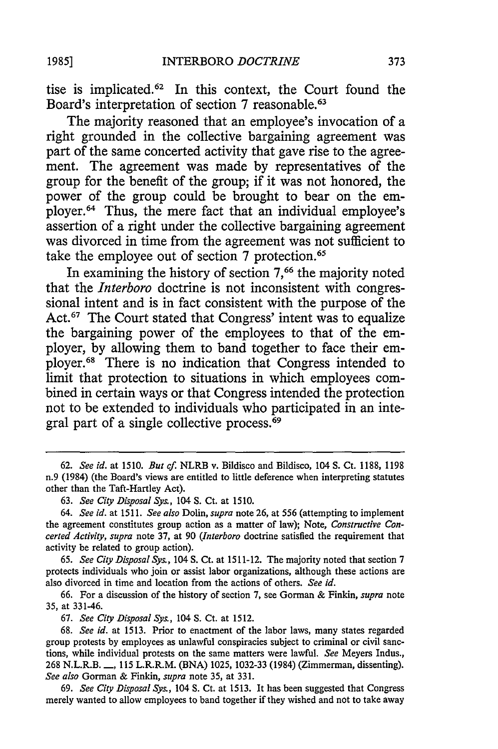tise is implicated.62 In this context, the Court found the Board's interpretation of section 7 reasonable.<sup>63</sup>

The majority reasoned that an employee's invocation of a right grounded in the collective bargaining agreement was part of the same concerted activity that gave rise to the agreement. The agreement was made by representatives of the group for the benefit of the group; if it was not honored, the power of the group could be brought to bear on the employer. 64 Thus, the mere fact that an individual employee's assertion of a right under the collective bargaining agreement was divorced in time from the agreement was not sufficient to take the employee out of section 7 protection.

In examining the history of section **7,66** the majority noted that the *Interboro* doctrine is not inconsistent with congressional intent and is in fact consistent with the purpose of the Act.<sup>67</sup> The Court stated that Congress' intent was to equalize the bargaining power of the employees to that of the employer, by allowing them to band together to face their employer.68 There is no indication that Congress intended to limit that protection to situations in which employees combined in certain ways or that Congress intended the protection not to be extended to individuals who participated in an integral part of a single collective process.<sup>69</sup>

65. *See City Disposal Sys.,* 104 S. Ct. at 1511-12. The majority noted that section 7 protects individuals who join or assist labor organizations, although these actions are also divorced in time and location from the actions of others. *See id.*

66. For a discussion of the history of section 7, see Gorman & Finkin, *supra* note 35, at 331-46.

67. *See City Disposal Sys.,* 104 S. Ct. at 1512.

68. *See id.* at 1513. Prior to enactment of the labor laws, many states regarded group protests by employees as unlawful conspiracies subject to criminal or civil sanctions, while individual protests on the same matters were lawful. *See* Meyers Indus., 268 N.L.R.B. **-,** 115 L.R.R.M. (BNA) 1025, 1032-33 (1984) (Zimmerman, dissenting). *See also* Gorman & Finkin, *supra* note 35, at 331.

69. *See City Disposal Sys.,* 104 S. Ct. at 1513. It has been suggested that Congress merely wanted to allow employees to band together if they wished and not to take away

<sup>62.</sup> *See id.* at 1510. *But cf.* NLRB v. Bildisco and Bildisco, 104 S. Ct. 1188, 1198 n.9 (1984) (the Board's views are entitled to little deference when interpreting statutes other than the Taft-Hartley Act).

<sup>63.</sup> *See City Disposal Sys.,* 104 S. Ct. at 1510.

<sup>64.</sup> *See id.* at 1511. *See also* Dolin, *supra* note 26, at 556 (attempting to implement the agreement constitutes group action as a matter of law); Note, *Constructive Concerted Activity, supra* note 37, at 90 *(Interboro* doctrine satisfied the requirement that activity be related to group action).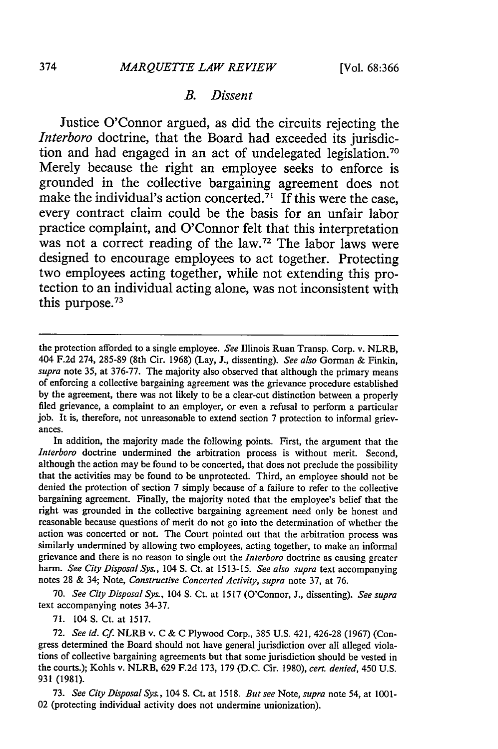# *B. Dissent*

Justice O'Connor argued, as did the circuits rejecting the *Interboro* doctrine, that the Board had exceeded its jurisdiction and had engaged in an act of undelegated legislation.<sup>70</sup> Merely because the right an employee seeks to enforce is grounded in the collective bargaining agreement does not make the individual's action concerted.<sup>71</sup> If this were the case, every contract claim could be the basis for an unfair labor practice complaint, and O'Connor felt that this interpretation was not a correct reading of the law.<sup>72</sup> The labor laws were designed to encourage employees to act together. Protecting two employees acting together, while not extending this protection to an individual acting alone, was not inconsistent with this purpose.<sup>73</sup>

In addition, the majority made the following points. First, the argument that the *Interboro* doctrine undermined the arbitration process is without merit. Second, although the action may be found to be concerted, that does not preclude the possibility that the activities may be found to be unprotected. Third, an employee should not be denied the protection of section 7 simply because of a failure to refer to the collective bargaining agreement. Finally, the majority noted that the employee's belief that the right was grounded in the collective bargaining agreement need only be honest and reasonable because questions of merit do not go into the determination of whether the action was concerted or not. The Court pointed out that the arbitration process was similarly undermined by allowing two employees, acting together, to make an informal grievance and there is no reason to single out the *Interboro* doctrine as causing greater harm. *See City Disposal* Sys., 104 **S.** Ct. at 1513-15. *See also supra* text accompanying notes 28 & 34; Note, *Constructive Concerted Activity, supra* note 37, at 76.

70. *See City Disposal Sys.,* 104 **S.** Ct. at 1517 (O'Connor, J., dissenting). *See supra* text accompanying notes 34-37.

71. 104 **S.** Ct. at 1517.

73. *See City Disposal Sys.,* 104 **S.** Ct. at 1518. *But see Note, supra* note 54, at 1001- 02 (protecting individual activity does not undermine unionization).

the protection afforded to a single employee. *See* Illinois Ruan Transp. Corp. v. NLRB, 404 F.2d 274, 285-89 (8th Cir. 1968) (Lay, J., dissenting). *See also* Gorman & Finkin, *supra* note 35, at 376-77. The majority also observed that although the primary means of enforcing a collective bargaining agreement was the grievance procedure established by the agreement, there was not likely to be a clear-cut distinction between a properly filed grievance, a complaint to an employer, or even a refusal to perform a particular job. It is, therefore, not unreasonable to extend section 7 protection to informal grievances.

<sup>72.</sup> *See id. Cf.* NLRB v. C & C Plywood Corp., 385 U.S. 421, 426-28 (1967) (Congress determined the Board should not have general jurisdiction over all alleged violations of collective bargaining agreements but that some jurisdiction should be vested in the courts.); Kohls v. NLRB, 629 F.2d 173, 179 (D.C. Cir. 1980), *cert. denied,* 450 U.S. 931 (1981).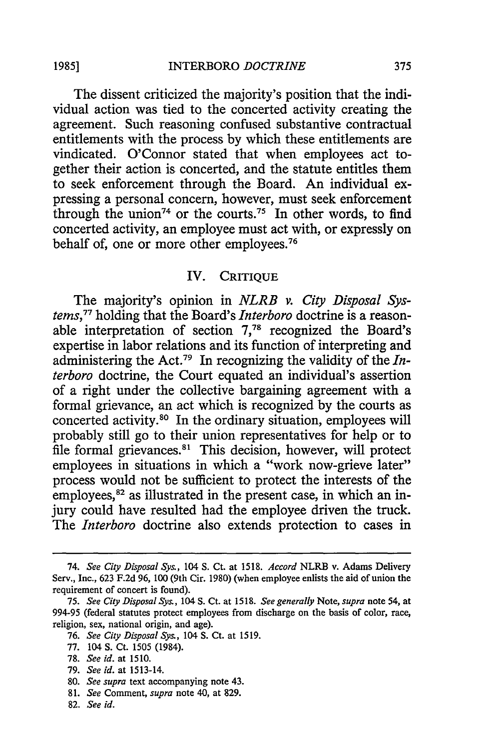The dissent criticized the majority's position that the individual action was tied to the concerted activity creating the agreement. Such reasoning confused substantive contractual entitlements with the process by which these entitlements are vindicated. O'Connor stated that when employees act together their action is concerted, and the statute entitles them to seek enforcement through the Board. An individual expressing a personal concern, however, must seek enforcement through the union<sup>74</sup> or the courts.<sup>75</sup> In other words, to find concerted activity, an employee must act with, or expressly on behalf of, one or more other employees.<sup>76</sup>

# IV. CRITIQUE

The majority's opinion in *NLRB v. City Disposal Systems, <sup>77</sup>*holding that the Board's *Interboro* doctrine is a reasonable interpretation of section **7,78** recognized the Board's expertise in labor relations and its function of interpreting and administering the Act.79 In recognizing the validity of the *Interboro* doctrine, the Court equated an individual's assertion of a right under the collective bargaining agreement with a formal grievance, an act which is recognized by the courts as concerted activity.80 In the ordinary situation, employees will probably still go to their union representatives for help or to file formal grievances.<sup>81</sup> This decision, however, will protect employees in situations in which a "work now-grieve later" process would not be sufficient to protect the interests of the employees,<sup>82</sup> as illustrated in the present case, in which an injury could have resulted had the employee driven the truck. The *Interboro* doctrine also extends protection to cases in

- 76. *See City Disposal Sys.,* 104 **S.** Ct. at 1519.
- 77. 104 **S.** Ct. 1505 (1984).
- 78. *See id.* at 1510.
- 79. *See id.* at 1513-14.
- 80. *See supra* text accompanying note 43.
- 81. *See* Comment, *supra* note 40, at 829.
- 82. *See id.*

<sup>74.</sup> *See City Disposal Sys.,* 104 **S.** Ct. at **1518.** *Accord* NLRB v. Adams Delivery Serv., Inc., 623 F.2d 96, **100** (9th Cir. 1980) (when employee enlists the aid of union the requirement of concert is found).

<sup>75.</sup> *See City Disposal Sys.,* 104 S. Ct. at 1518. *See generally* Note, *supra* note 54, at 994-95 (federal statutes protect employees from discharge on the basis of color, race, religion, sex, national origin, and age).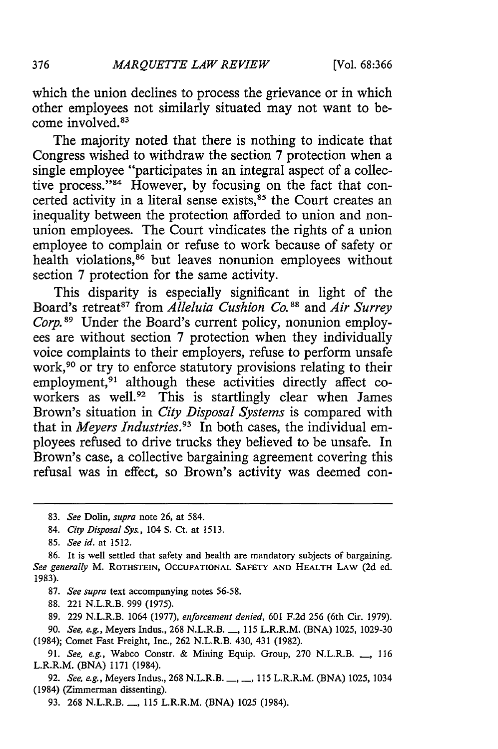which the union declines to process the grievance or in which other employees not similarly situated may not want to become involved.<sup>83</sup>

The majority noted that there is nothing to indicate that Congress wished to withdraw the section 7 protection when a single employee "participates in an integral aspect of a collective process."<sup>84</sup> However, by focusing on the fact that concerted activity in a literal sense exists,<sup>85</sup> the Court creates an inequality between the protection afforded to union and nonunion employees. The Court vindicates the rights of a union employee to complain or refuse to work because of safety or health violations,<sup>86</sup> but leaves nonunion employees without section 7 protection for the same activity.

This disparity is especially significant in light of the Board's retreat<sup>87</sup> from *Alleluia Cushion Co.*<sup>88</sup> and *Air Surrey Corp.*<sup>89</sup> Under the Board's current policy, nonunion employees are without section 7 protection when they individually voice complaints to their employers, refuse to perform unsafe work,<sup>90</sup> or try to enforce statutory provisions relating to their employment,<sup>91</sup> although these activities directly affect coworkers as well.<sup>92</sup> This is startlingly clear when James Brown's situation in *City Disposal Systems* is compared with that in *Meyers Industries*.<sup>93</sup> In both cases, the individual employees refused to drive trucks they believed to be unsafe. In Brown's case, a collective bargaining agreement covering this refusal was in effect, so Brown's activity was deemed con-

87. *See supra* text accompanying notes 56-58.

88. 221 N.L.R.B. 999 (1975).

89. 229 N.L.R.B. 1064 (1977), *enforcement denied,* 601 F.2d 256 (6th Cir. 1979).

90. *See, e.g.,* Meyers Indus., 268 N.L.R.B. **-,** 115 L.R.R.M. (BNA) 1025, 1029-30 (1984); Comet Fast Freight, Inc., 262 N.L.R.B. 430, 431 (1982).

93. 268 N.L.R.B. **-,** 115 L.R.R.M. (BNA) 1025 (1984).

376

<sup>83.</sup> *See* Dolin, *supra* note 26, at 584.

<sup>84.</sup> *City Disposal Sys.,* 104 **S.** Ct. at 1513.

<sup>85.</sup> See id. at 1512.

<sup>86.</sup> It is well settled that safety and health are mandatory subjects of bargaining. *See generally* M. **ROTHSTEIN, OCCUPATIONAL SAFETY AND HEALTH** LAW (2d ed. 1983).

<sup>91.</sup> *See, e.g.,* Wabco Constr. & Mining Equip. Group, 270 N.L.R.B. **\_\_,** 116 L.R.R.M. (BNA) 1171 (1984).

<sup>92.</sup> *See, e.g., Meyers Indus., 268 N.L.R.B.* ..., ..., 115 L.R.R.M. (BNA) 1025, 1034 (1984) (Zimmerman dissenting).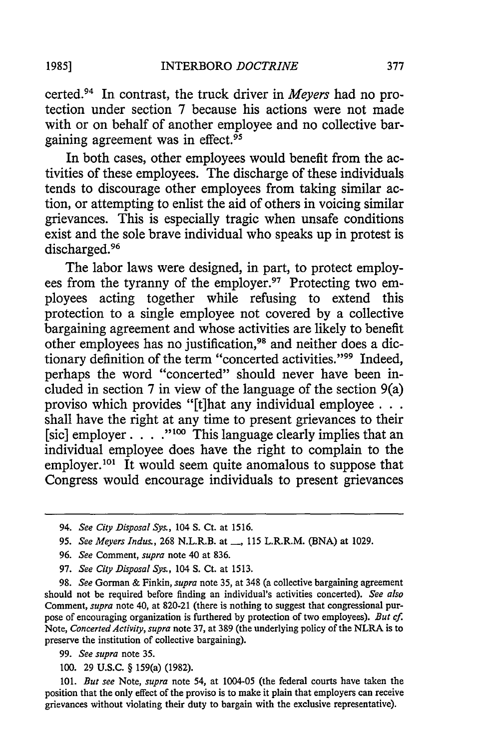certed. 94 In contrast, the truck driver in *Meyers* had no protection under section 7 because his actions were not made with or on behalf of another employee and no collective bargaining agreement was in effect. $95$ 

In both cases, other employees would benefit from the activities of these employees. The discharge of these individuals tends to discourage other employees from taking similar action, or attempting to enlist the aid of others in voicing similar grievances. This is especially tragic when unsafe conditions exist and the sole brave individual who speaks up in protest is discharged.<sup>96</sup>

The labor laws were designed, in part, to protect employees from the tyranny of the employer.<sup>97</sup> Protecting two employees acting together while refusing to extend this protection to a single employee not covered by a collective bargaining agreement and whose activities are likely to benefit other employees has no justification, 98 and neither does a dictionary definition of the term "concerted activities."<sup>99</sup> Indeed, perhaps the word "concerted" should never have been included in section 7 in view of the language of the section 9(a) proviso which provides "[t]hat any individual employee  $\ldots$ . shall have the right at any time to present grievances to their [sic] employer. . **."00** This language clearly implies that an individual employee does have the right to complain to the employer.<sup>101</sup> It would seem quite anomalous to suppose that Congress would encourage individuals to present grievances

- 96. *See* Comment, *supra* note 40 at 836.
- 97. *See City Disposal Sys.,* 104 **S.** Ct. at 1513.

98. *See* Gorman & Finkin, *supra* note 35, at 348 (a collective bargaining agreement should not be required before finding an individual's activities concerted). *See also* Comment, *supra* note 40, at 820-21 (there is nothing to suggest that congressional purpose of encouraging organization is furthered by protection of two employees). *But cf.* Note, *Concerted Activity, supra* note 37, at 389 (the underlying policy of the NLRA is to preserve the institution of collective bargaining).

*99. See supra* note 35.

100. 29 U.S.C. § 159(a) (1982).

101. *But see* Note, *supra* note 54, at 1004-05 (the federal courts have taken the position that the only effect of the proviso is to make it plain that employers can receive grievances without violating their duty to bargain with the exclusive representative).

<sup>94.</sup> *See City Disposal Sys.,* 104 **S.** Ct. at 1516.

<sup>95.</sup> *See Meyers Indus.*, 268 N.L.R.B. at <sub>,</sub> 115 L.R.R.M. (BNA) at 1029.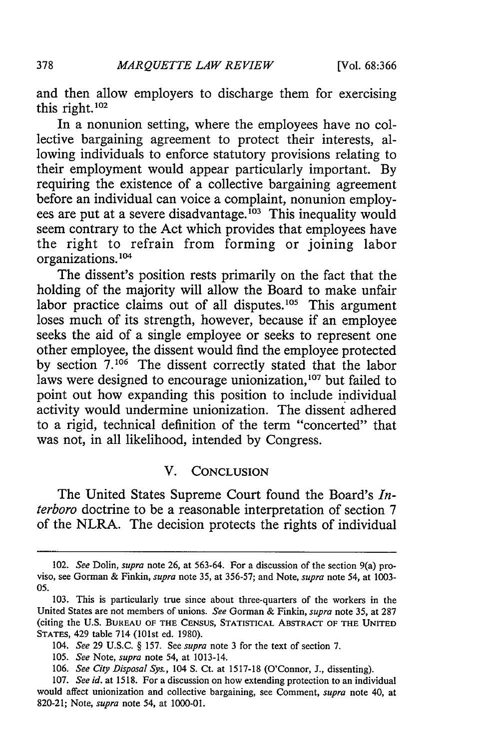and then allow employers to discharge them for exercising this right. $102$ 

In a nonunion setting, where the employees have no collective bargaining agreement to protect their interests, allowing individuals to enforce statutory provisions relating to their employment would appear particularly important. By requiring the existence of a collective bargaining agreement before an individual can voice a complaint, nonunion employees are put at a severe disadvantage.<sup>103</sup> This inequality would seem contrary to the Act which provides that employees have the right to refrain from forming or joining labor organizations. **<sup>101</sup>**

The dissent's position rests primarily on the fact that the holding of the majority will allow the Board to make unfair labor practice claims out of all disputes.<sup>105</sup> This argument loses much of its strength, however, because if an employee seeks the aid of a single employee or seeks to represent one other employee, the dissent would find the employee protected by section **7.106** The dissent correctly stated that the labor laws were designed to encourage unionization,<sup>107</sup> but failed to point out how expanding this position to include individual activity would undermine unionization. The dissent adhered to a rigid, technical definition of the term "concerted" that was not, in all likelihood, intended by Congress.

#### V. CONCLUSION

The United States Supreme Court found the Board's *Interboro* doctrine to be a reasonable interpretation of section 7 of the NLRA. The decision protects the rights of individual

<sup>102.</sup> *See* Dolin, *supra* note 26, at **563-64.** For a discussion of the section 9(a) proviso, see Gorman & Finkin, *supra* note **35,** at 356-57; and Note, *supra* note 54, at **1003-** 05.

<sup>103.</sup> This is particularly true since about three-quarters of the workers in the United States are not members of unions. *See* Gorman & Finkin, *supra* note **35,** at **287** (citing the U.S. BUREAU OF **THE** CENSUS, STATISTICAL ABSTRACT **OF THE UNITED STATES,** 429 table 714 (101st ed. 1980).

*<sup>104.</sup> See* 29 U.S.C. § 157. See *supra* note **3** for the text of section **7.**

<sup>105.</sup> *See* Note, *supra* note 54, at 1013-14.

<sup>106.</sup> *See City Disposal Sys.,* 104 **S.** Ct. at 1517-18 (O'Connor, J., dissenting).

<sup>107.</sup> *See id.* at 1518. For a discussion on how extending protection to an individual would affect unionization and collective bargaining, see Comment, *supra* note 40, at 820-21; Note, *supra* note 54, at 1000-01.